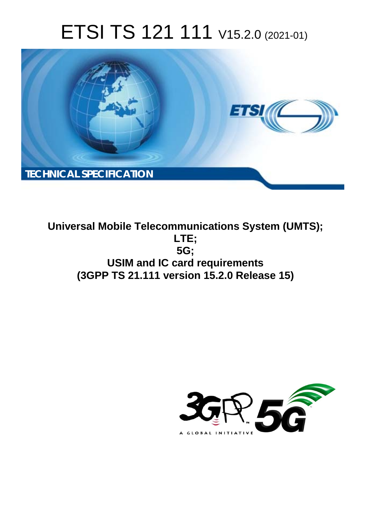# ETSI TS 121 111 V15.2.0 (2021-01)



**Universal Mobile Telecommunications System (UMTS); LTE; 5G; USIM and IC card requirements (3GPP TS 21.111 version 15.2.0 Release 15)** 

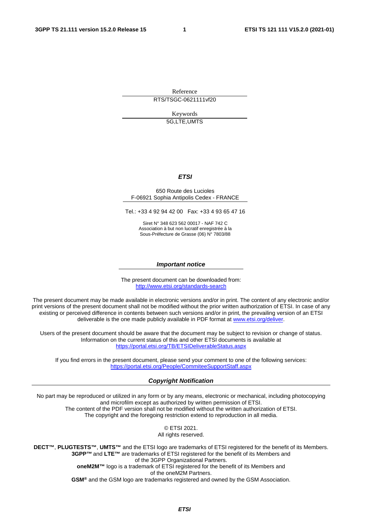Reference

RTS/TSGC-0621111vf20

Keywords 5G,LTE,UMTS

#### *ETSI*

#### 650 Route des Lucioles F-06921 Sophia Antipolis Cedex - FRANCE

Tel.: +33 4 92 94 42 00 Fax: +33 4 93 65 47 16

Siret N° 348 623 562 00017 - NAF 742 C Association à but non lucratif enregistrée à la Sous-Préfecture de Grasse (06) N° 7803/88

#### *Important notice*

The present document can be downloaded from: <http://www.etsi.org/standards-search>

The present document may be made available in electronic versions and/or in print. The content of any electronic and/or print versions of the present document shall not be modified without the prior written authorization of ETSI. In case of any existing or perceived difference in contents between such versions and/or in print, the prevailing version of an ETSI deliverable is the one made publicly available in PDF format at [www.etsi.org/deliver](http://www.etsi.org/deliver).

Users of the present document should be aware that the document may be subject to revision or change of status. Information on the current status of this and other ETSI documents is available at <https://portal.etsi.org/TB/ETSIDeliverableStatus.aspx>

If you find errors in the present document, please send your comment to one of the following services: <https://portal.etsi.org/People/CommiteeSupportStaff.aspx>

#### *Copyright Notification*

No part may be reproduced or utilized in any form or by any means, electronic or mechanical, including photocopying and microfilm except as authorized by written permission of ETSI. The content of the PDF version shall not be modified without the written authorization of ETSI. The copyright and the foregoing restriction extend to reproduction in all media.

> © ETSI 2021. All rights reserved.

**DECT™**, **PLUGTESTS™**, **UMTS™** and the ETSI logo are trademarks of ETSI registered for the benefit of its Members. **3GPP™** and **LTE™** are trademarks of ETSI registered for the benefit of its Members and of the 3GPP Organizational Partners. **oneM2M™** logo is a trademark of ETSI registered for the benefit of its Members and of the oneM2M Partners. **GSM®** and the GSM logo are trademarks registered and owned by the GSM Association.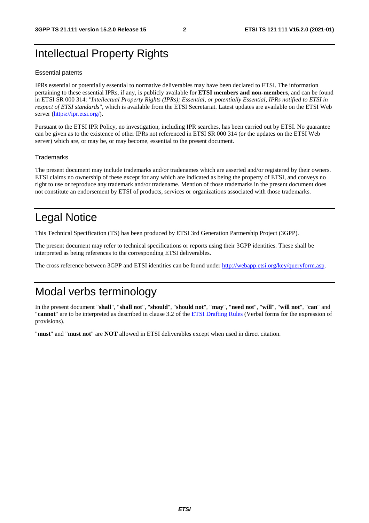# Intellectual Property Rights

#### Essential patents

IPRs essential or potentially essential to normative deliverables may have been declared to ETSI. The information pertaining to these essential IPRs, if any, is publicly available for **ETSI members and non-members**, and can be found in ETSI SR 000 314: *"Intellectual Property Rights (IPRs); Essential, or potentially Essential, IPRs notified to ETSI in respect of ETSI standards"*, which is available from the ETSI Secretariat. Latest updates are available on the ETSI Web server [\(https://ipr.etsi.org/](https://ipr.etsi.org/)).

Pursuant to the ETSI IPR Policy, no investigation, including IPR searches, has been carried out by ETSI. No guarantee can be given as to the existence of other IPRs not referenced in ETSI SR 000 314 (or the updates on the ETSI Web server) which are, or may be, or may become, essential to the present document.

#### **Trademarks**

The present document may include trademarks and/or tradenames which are asserted and/or registered by their owners. ETSI claims no ownership of these except for any which are indicated as being the property of ETSI, and conveys no right to use or reproduce any trademark and/or tradename. Mention of those trademarks in the present document does not constitute an endorsement by ETSI of products, services or organizations associated with those trademarks.

# Legal Notice

This Technical Specification (TS) has been produced by ETSI 3rd Generation Partnership Project (3GPP).

The present document may refer to technical specifications or reports using their 3GPP identities. These shall be interpreted as being references to the corresponding ETSI deliverables.

The cross reference between 3GPP and ETSI identities can be found under<http://webapp.etsi.org/key/queryform.asp>.

# Modal verbs terminology

In the present document "**shall**", "**shall not**", "**should**", "**should not**", "**may**", "**need not**", "**will**", "**will not**", "**can**" and "**cannot**" are to be interpreted as described in clause 3.2 of the [ETSI Drafting Rules](https://portal.etsi.org/Services/editHelp!/Howtostart/ETSIDraftingRules.aspx) (Verbal forms for the expression of provisions).

"**must**" and "**must not**" are **NOT** allowed in ETSI deliverables except when used in direct citation.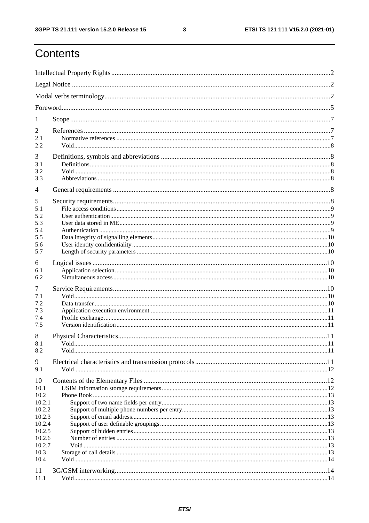$\mathbf{3}$ 

# Contents

| 1                |  |  |  |  |
|------------------|--|--|--|--|
| 2                |  |  |  |  |
| 2.1              |  |  |  |  |
| 2.2              |  |  |  |  |
| 3                |  |  |  |  |
| 3.1<br>3.2       |  |  |  |  |
| 3.3              |  |  |  |  |
| $\overline{4}$   |  |  |  |  |
| 5                |  |  |  |  |
| 5.1              |  |  |  |  |
| 5.2<br>5.3       |  |  |  |  |
| 5.4              |  |  |  |  |
| 5.5              |  |  |  |  |
| 5.6              |  |  |  |  |
| 5.7              |  |  |  |  |
| 6                |  |  |  |  |
| 6.1<br>6.2       |  |  |  |  |
|                  |  |  |  |  |
| 7<br>7.1         |  |  |  |  |
| 7.2              |  |  |  |  |
| 7.3              |  |  |  |  |
| 7.4<br>7.5       |  |  |  |  |
|                  |  |  |  |  |
| 8<br>8.1         |  |  |  |  |
| 8.2              |  |  |  |  |
| 9                |  |  |  |  |
| 9.1              |  |  |  |  |
| 10               |  |  |  |  |
| 10.1             |  |  |  |  |
| 10.2             |  |  |  |  |
| 10.2.1           |  |  |  |  |
| 10.2.2<br>10.2.3 |  |  |  |  |
| 10.2.4           |  |  |  |  |
| 10.2.5           |  |  |  |  |
| 10.2.6           |  |  |  |  |
| 10.2.7           |  |  |  |  |
| 10.3<br>10.4     |  |  |  |  |
|                  |  |  |  |  |
| 11<br>11.1       |  |  |  |  |
|                  |  |  |  |  |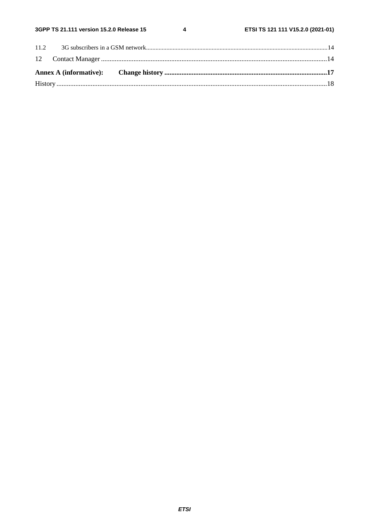$\overline{\mathbf{4}}$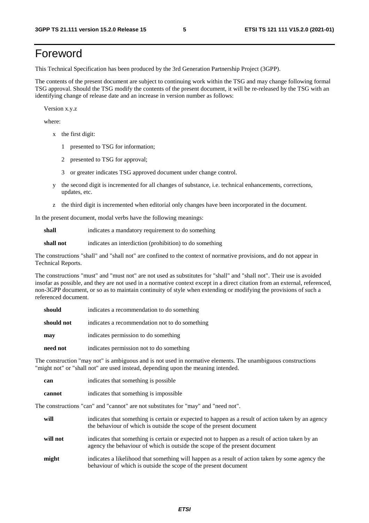# Foreword

This Technical Specification has been produced by the 3rd Generation Partnership Project (3GPP).

The contents of the present document are subject to continuing work within the TSG and may change following formal TSG approval. Should the TSG modify the contents of the present document, it will be re-released by the TSG with an identifying change of release date and an increase in version number as follows:

Version x.y.z

where:

- x the first digit:
	- 1 presented to TSG for information;
	- 2 presented to TSG for approval;
	- 3 or greater indicates TSG approved document under change control.
- y the second digit is incremented for all changes of substance, i.e. technical enhancements, corrections, updates, etc.
- z the third digit is incremented when editorial only changes have been incorporated in the document.

In the present document, modal verbs have the following meanings:

**shall** indicates a mandatory requirement to do something

**shall not** indicates an interdiction (prohibition) to do something

The constructions "shall" and "shall not" are confined to the context of normative provisions, and do not appear in Technical Reports.

The constructions "must" and "must not" are not used as substitutes for "shall" and "shall not". Their use is avoided insofar as possible, and they are not used in a normative context except in a direct citation from an external, referenced, non-3GPP document, or so as to maintain continuity of style when extending or modifying the provisions of such a referenced document.

| should     | indicates a recommendation to do something     |
|------------|------------------------------------------------|
| should not | indicates a recommendation not to do something |
| may        | indicates permission to do something           |
| need not   | indicates permission not to do something       |

The construction "may not" is ambiguous and is not used in normative elements. The unambiguous constructions "might not" or "shall not" are used instead, depending upon the meaning intended.

| can    | indicates that something is possible.  |
|--------|----------------------------------------|
| cannot | indicates that something is impossible |

The constructions "can" and "cannot" are not substitutes for "may" and "need not".

| will     | indicates that something is certain or expected to happen as a result of action taken by an agency<br>the behaviour of which is outside the scope of the present document     |
|----------|-------------------------------------------------------------------------------------------------------------------------------------------------------------------------------|
| will not | indicates that something is certain or expected not to happen as a result of action taken by an<br>agency the behaviour of which is outside the scope of the present document |
| might    | indicates a likelihood that something will happen as a result of action taken by some agency the<br>behaviour of which is outside the scope of the present document           |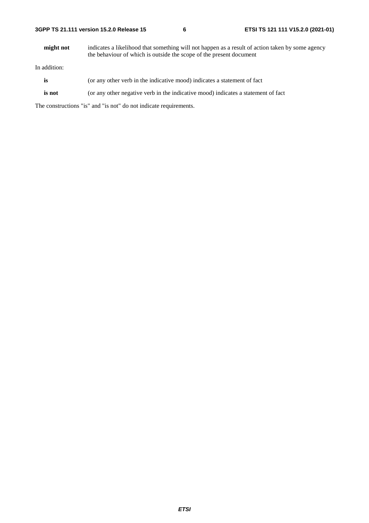**might not** indicates a likelihood that something will not happen as a result of action taken by some agency the behaviour of which is outside the scope of the present document

In addition:

- is (or any other verb in the indicative mood) indicates a statement of fact
- **is not** (or any other negative verb in the indicative mood) indicates a statement of fact

The constructions "is" and "is not" do not indicate requirements.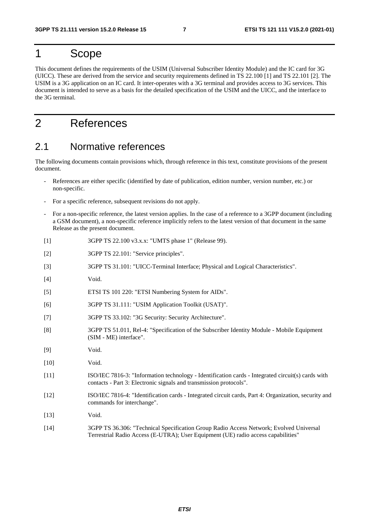# 1 Scope

This document defines the requirements of the USIM (Universal Subscriber Identity Module) and the IC card for 3G (UICC). These are derived from the service and security requirements defined in TS 22.100 [1] and TS 22.101 [2]. The USIM is a 3G application on an IC card. It inter-operates with a 3G terminal and provides access to 3G services. This document is intended to serve as a basis for the detailed specification of the USIM and the UICC, and the interface to the 3G terminal.

# 2 References

### 2.1 Normative references

The following documents contain provisions which, through reference in this text, constitute provisions of the present document.

- References are either specific (identified by date of publication, edition number, version number, etc.) or non-specific.
- For a specific reference, subsequent revisions do not apply.
- For a non-specific reference, the latest version applies. In the case of a reference to a 3GPP document (including a GSM document), a non-specific reference implicitly refers to the latest version of that document in the same Release as the present document.
- [1] 3GPP TS 22.100 v3.x.x: "UMTS phase 1" (Release 99).
- [2] 3GPP TS 22.101: "Service principles".
- [3] 3GPP TS 31.101: "UICC-Terminal Interface; Physical and Logical Characteristics".
- [4] Void.
- [5] ETSI TS 101 220: "ETSI Numbering System for AIDs".
- [6] 3GPP TS 31.111: "USIM Application Toolkit (USAT)".
- [7] 3GPP TS 33.102: "3G Security: Security Architecture".
- [8] 3GPP TS 51.011, Rel-4: "Specification of the Subscriber Identity Module Mobile Equipment (SIM - ME) interface".
- [9] Void.
- [10] **Void.**
- [11] ISO/IEC 7816-3: "Information technology Identification cards Integrated circuit(s) cards with contacts - Part 3: Electronic signals and transmission protocols".
- [12] ISO/IEC 7816-4: "Identification cards Integrated circuit cards, Part 4: Organization, security and commands for interchange".
- [13] **Void.**
- [14] 3GPP TS 36.306: "Technical Specification Group Radio Access Network; Evolved Universal Terrestrial Radio Access (E-UTRA); User Equipment (UE) radio access capabilities"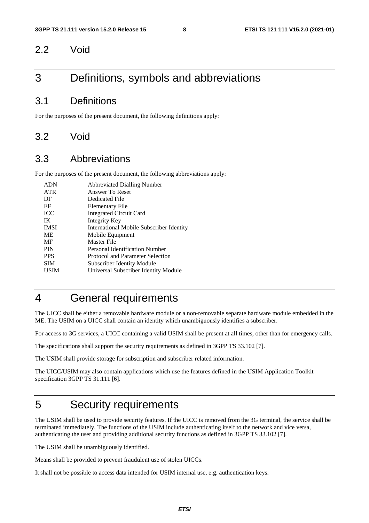### 2.2 Void

# 3 Definitions, symbols and abbreviations

### 3.1 Definitions

For the purposes of the present document, the following definitions apply:

### 3.2 Void

### 3.3 Abbreviations

For the purposes of the present document, the following abbreviations apply:

| <b>ADN</b>  | <b>Abbreviated Dialling Number</b>       |
|-------------|------------------------------------------|
| <b>ATR</b>  | Answer To Reset                          |
| DF          | Dedicated File                           |
| EF          | Elementary File                          |
| <b>ICC</b>  | <b>Integrated Circuit Card</b>           |
| IK          | Integrity Key                            |
| <b>IMSI</b> | International Mobile Subscriber Identity |
| <b>ME</b>   | Mobile Equipment                         |
| MF          | Master File                              |
| <b>PIN</b>  | Personal Identification Number           |
| <b>PPS</b>  | Protocol and Parameter Selection         |
| <b>SIM</b>  | <b>Subscriber Identity Module</b>        |
| <b>USIM</b> | Universal Subscriber Identity Module     |
|             |                                          |

# 4 General requirements

The UICC shall be either a removable hardware module or a non-removable separate hardware module embedded in the ME. The USIM on a UICC shall contain an identity which unambiguously identifies a subscriber.

For access to 3G services, a UICC containing a valid USIM shall be present at all times, other than for emergency calls.

The specifications shall support the security requirements as defined in 3GPP TS 33.102 [7].

The USIM shall provide storage for subscription and subscriber related information.

The UICC/USIM may also contain applications which use the features defined in the USIM Application Toolkit specification 3GPP TS 31.111 [6].

# 5 Security requirements

The USIM shall be used to provide security features. If the UICC is removed from the 3G terminal, the service shall be terminated immediately. The functions of the USIM include authenticating itself to the network and vice versa, authenticating the user and providing additional security functions as defined in 3GPP TS 33.102 [7].

The USIM shall be unambiguously identified.

Means shall be provided to prevent fraudulent use of stolen UICCs.

It shall not be possible to access data intended for USIM internal use, e.g. authentication keys.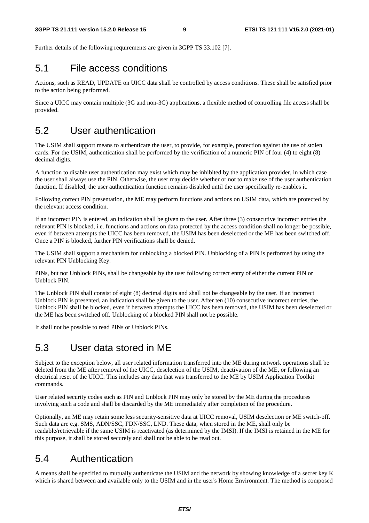Further details of the following requirements are given in 3GPP TS 33.102 [7].

### 5.1 File access conditions

Actions, such as READ, UPDATE on UICC data shall be controlled by access conditions. These shall be satisfied prior to the action being performed.

Since a UICC may contain multiple (3G and non-3G) applications, a flexible method of controlling file access shall be provided.

# 5.2 User authentication

The USIM shall support means to authenticate the user, to provide, for example, protection against the use of stolen cards. For the USIM, authentication shall be performed by the verification of a numeric PIN of four (4) to eight (8) decimal digits.

A function to disable user authentication may exist which may be inhibited by the application provider, in which case the user shall always use the PIN. Otherwise, the user may decide whether or not to make use of the user authentication function. If disabled, the user authentication function remains disabled until the user specifically re-enables it.

Following correct PIN presentation, the ME may perform functions and actions on USIM data, which are protected by the relevant access condition.

If an incorrect PIN is entered, an indication shall be given to the user. After three (3) consecutive incorrect entries the relevant PIN is blocked, i.e. functions and actions on data protected by the access condition shall no longer be possible, even if between attempts the UICC has been removed, the USIM has been deselected or the ME has been switched off. Once a PIN is blocked, further PIN verifications shall be denied.

The USIM shall support a mechanism for unblocking a blocked PIN. Unblocking of a PIN is performed by using the relevant PIN Unblocking Key.

PINs, but not Unblock PINs, shall be changeable by the user following correct entry of either the current PIN or Unblock PIN.

The Unblock PIN shall consist of eight (8) decimal digits and shall not be changeable by the user. If an incorrect Unblock PIN is presented, an indication shall be given to the user. After ten (10) consecutive incorrect entries, the Unblock PIN shall be blocked, even if between attempts the UICC has been removed, the USIM has been deselected or the ME has been switched off. Unblocking of a blocked PIN shall not be possible.

It shall not be possible to read PINs or Unblock PINs.

# 5.3 User data stored in ME

Subject to the exception below, all user related information transferred into the ME during network operations shall be deleted from the ME after removal of the UICC, deselection of the USIM, deactivation of the ME, or following an electrical reset of the UICC. This includes any data that was transferred to the ME by USIM Application Toolkit commands.

User related security codes such as PIN and Unblock PIN may only be stored by the ME during the procedures involving such a code and shall be discarded by the ME immediately after completion of the procedure.

Optionally, an ME may retain some less security-sensitive data at UICC removal, USIM deselection or ME switch-off. Such data are e.g. SMS, ADN/SSC, FDN/SSC, LND. These data, when stored in the ME, shall only be readable/retrievable if the same USIM is reactivated (as determined by the IMSI). If the IMSI is retained in the ME for this purpose, it shall be stored securely and shall not be able to be read out.

# 5.4 Authentication

A means shall be specified to mutually authenticate the USIM and the network by showing knowledge of a secret key K which is shared between and available only to the USIM and in the user's Home Environment. The method is composed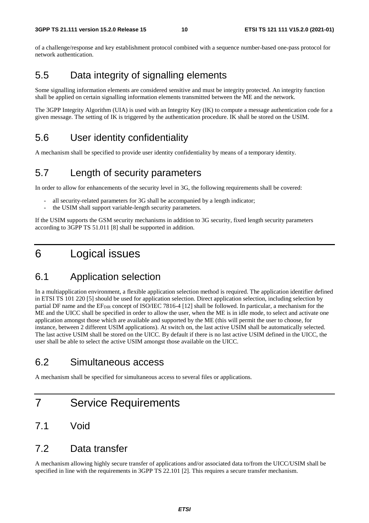of a challenge/response and key establishment protocol combined with a sequence number-based one-pass protocol for network authentication.

# 5.5 Data integrity of signalling elements

Some signalling information elements are considered sensitive and must be integrity protected. An integrity function shall be applied on certain signalling information elements transmitted between the ME and the network.

The 3GPP Integrity Algorithm (UIA) is used with an Integrity Key (IK) to compute a message authentication code for a given message. The setting of IK is triggered by the authentication procedure. IK shall be stored on the USIM.

# 5.6 User identity confidentiality

A mechanism shall be specified to provide user identity confidentiality by means of a temporary identity.

# 5.7 Length of security parameters

In order to allow for enhancements of the security level in 3G, the following requirements shall be covered:

- all security-related parameters for 3G shall be accompanied by a length indicator;
- the USIM shall support variable-length security parameters.

If the USIM supports the GSM security mechanisms in addition to 3G security, fixed length security parameters according to 3GPP TS 51.011 [8] shall be supported in addition.

# 6 Logical issues

# 6.1 Application selection

In a multiapplication environment, a flexible application selection method is required. The application identifier defined in ETSI TS 101 220 [5] should be used for application selection. Direct application selection, including selection by partial DF name and the EF<sub>DIR</sub> concept of ISO/IEC 7816-4 [12] shall be followed. In particular, a mechanism for the ME and the UICC shall be specified in order to allow the user, when the ME is in idle mode, to select and activate one application amongst those which are available and supported by the ME (this will permit the user to choose, for instance, between 2 different USIM applications). At switch on, the last active USIM shall be automatically selected. The last active USIM shall be stored on the UICC. By default if there is no last active USIM defined in the UICC, the user shall be able to select the active USIM amongst those available on the UICC.

# 6.2 Simultaneous access

A mechanism shall be specified for simultaneous access to several files or applications.

# 7 Service Requirements

# 7.1 Void

### 7.2 Data transfer

A mechanism allowing highly secure transfer of applications and/or associated data to/from the UICC/USIM shall be specified in line with the requirements in 3GPP TS 22.101 [2]. This requires a secure transfer mechanism.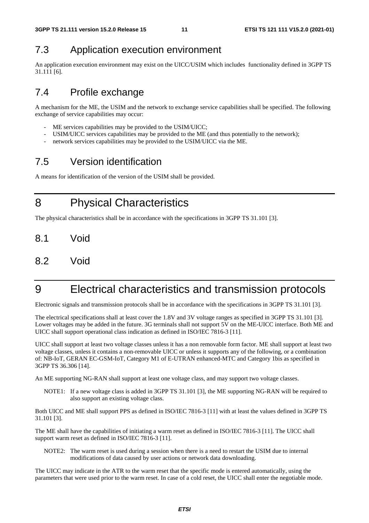# 7.3 Application execution environment

An application execution environment may exist on the UICC/USIM which includes functionality defined in 3GPP TS 31.111 [6].

# 7.4 Profile exchange

A mechanism for the ME, the USIM and the network to exchange service capabilities shall be specified. The following exchange of service capabilities may occur:

- ME services capabilities may be provided to the USIM/UICC;
- USIM/UICC services capabilities may be provided to the ME (and thus potentially to the network);
- network services capabilities may be provided to the USIM/UICC via the ME.

# 7.5 Version identification

A means for identification of the version of the USIM shall be provided.

8 Physical Characteristics

The physical characteristics shall be in accordance with the specifications in 3GPP TS 31.101 [3].

- 8.1 Void
- 8.2 Void

# 9 Electrical characteristics and transmission protocols

Electronic signals and transmission protocols shall be in accordance with the specifications in 3GPP TS 31.101 [3].

The electrical specifications shall at least cover the 1.8V and 3V voltage ranges as specified in 3GPP TS 31.101 [3]. Lower voltages may be added in the future. 3G terminals shall not support 5V on the ME-UICC interface. Both ME and UICC shall support operational class indication as defined in ISO/IEC 7816-3 [11].

UICC shall support at least two voltage classes unless it has a non removable form factor. ME shall support at least two voltage classes, unless it contains a non-removable UICC or unless it supports any of the following, or a combination of: NB-IoT, GERAN EC-GSM-IoT, Category M1 of E-UTRAN enhanced-MTC and Category 1bis as specified in 3GPP TS 36.306 [14].

An ME supporting NG-RAN shall support at least one voltage class, and may support two voltage classes.

NOTE1: If a new voltage class is added in 3GPP TS 31.101 [3], the ME supporting NG-RAN will be required to also support an existing voltage class.

Both UICC and ME shall support PPS as defined in ISO/IEC 7816-3 [11] with at least the values defined in 3GPP TS 31.101 [3].

The ME shall have the capabilities of initiating a warm reset as defined in ISO/IEC 7816-3 [11]. The UICC shall support warm reset as defined in ISO/IEC 7816-3 [11].

NOTE2: The warm reset is used during a session when there is a need to restart the USIM due to internal modifications of data caused by user actions or network data downloading.

The UICC may indicate in the ATR to the warm reset that the specific mode is entered automatically, using the parameters that were used prior to the warm reset. In case of a cold reset, the UICC shall enter the negotiable mode.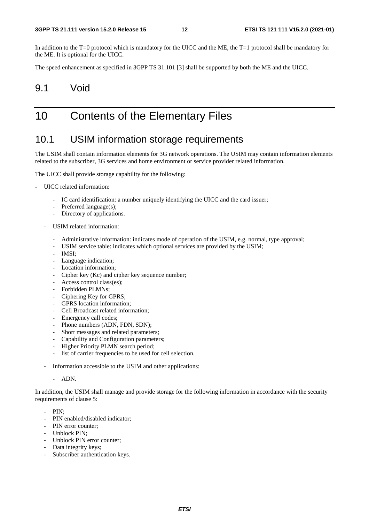In addition to the T=0 protocol which is mandatory for the UICC and the ME, the T=1 protocol shall be mandatory for the ME. It is optional for the UICC.

The speed enhancement as specified in 3GPP TS 31.101 [3] shall be supported by both the ME and the UICC.

### 9.1 Void

# 10 Contents of the Elementary Files

### 10.1 USIM information storage requirements

The USIM shall contain information elements for 3G network operations. The USIM may contain information elements related to the subscriber, 3G services and home environment or service provider related information.

The UICC shall provide storage capability for the following:

- UICC related information:
	- IC card identification: a number uniquely identifying the UICC and the card issuer;
	- Preferred language(s);
	- Directory of applications.
	- USIM related information:
		- Administrative information: indicates mode of operation of the USIM, e.g. normal, type approval;
		- USIM service table: indicates which optional services are provided by the USIM;
		- IMSI;
		- Language indication;
		- Location information;
		- Cipher key (Kc) and cipher key sequence number;
		- Access control class(es);
		- Forbidden PLMNs;
		- Ciphering Key for GPRS:
		- GPRS location information:
		- Cell Broadcast related information;
		- Emergency call codes;
		- Phone numbers (ADN, FDN, SDN);
		- Short messages and related parameters;
		- Capability and Configuration parameters;
		- Higher Priority PLMN search period;
		- list of carrier frequencies to be used for cell selection.
	- Information accessible to the USIM and other applications:
		- ADN.

In addition, the USIM shall manage and provide storage for the following information in accordance with the security requirements of clause 5:

- PIN;
- PIN enabled/disabled indicator;
- PIN error counter:
- Unblock PIN;
- Unblock PIN error counter;
- Data integrity keys;
- Subscriber authentication keys.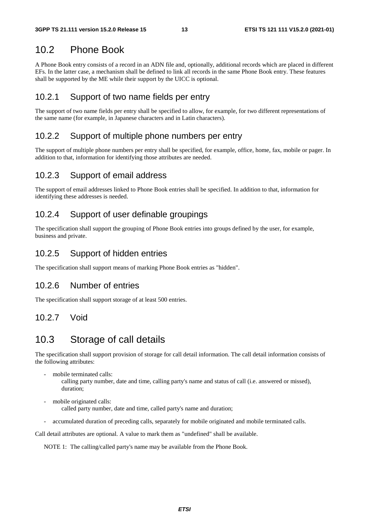## 10.2 Phone Book

A Phone Book entry consists of a record in an ADN file and, optionally, additional records which are placed in different EFs. In the latter case, a mechanism shall be defined to link all records in the same Phone Book entry. These features shall be supported by the ME while their support by the UICC is optional.

#### 10.2.1 Support of two name fields per entry

The support of two name fields per entry shall be specified to allow, for example, for two different representations of the same name (for example, in Japanese characters and in Latin characters).

#### 10.2.2 Support of multiple phone numbers per entry

The support of multiple phone numbers per entry shall be specified, for example, office, home, fax, mobile or pager. In addition to that, information for identifying those attributes are needed.

#### 10.2.3 Support of email address

The support of email addresses linked to Phone Book entries shall be specified. In addition to that, information for identifying these addresses is needed.

#### 10.2.4 Support of user definable groupings

The specification shall support the grouping of Phone Book entries into groups defined by the user, for example, business and private.

#### 10.2.5 Support of hidden entries

The specification shall support means of marking Phone Book entries as "hidden".

#### 10.2.6 Number of entries

The specification shall support storage of at least 500 entries.

#### 10.2.7 Void

# 10.3 Storage of call details

The specification shall support provision of storage for call detail information. The call detail information consists of the following attributes:

mobile terminated calls:

 calling party number, date and time, calling party's name and status of call (i.e. answered or missed), duration;

mobile originated calls:

called party number, date and time, called party's name and duration;

- accumulated duration of preceding calls, separately for mobile originated and mobile terminated calls.

Call detail attributes are optional. A value to mark them as "undefined" shall be available.

NOTE 1: The calling/called party's name may be available from the Phone Book.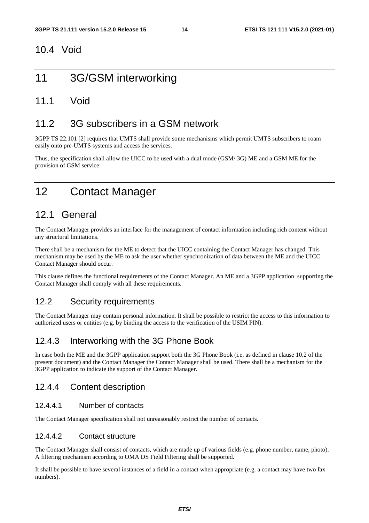### 10.4 Void

# 11 3G/GSM interworking

### 11.1 Void

# 11.2 3G subscribers in a GSM network

3GPP TS 22.101 [2] requires that UMTS shall provide some mechanisms which permit UMTS subscribers to roam easily onto pre-UMTS systems and access the services.

Thus, the specification shall allow the UICC to be used with a dual mode (GSM/ 3G) ME and a GSM ME for the provision of GSM service.

# 12 Contact Manager

# 12.1 General

The Contact Manager provides an interface for the management of contact information including rich content without any structural limitations.

There shall be a mechanism for the ME to detect that the UICC containing the Contact Manager has changed. This mechanism may be used by the ME to ask the user whether synchronization of data between the ME and the UICC Contact Manager should occur.

This clause defines the functional requirements of the Contact Manager. An ME and a 3GPP application supporting the Contact Manager shall comply with all these requirements.

### 12.2 Security requirements

The Contact Manager may contain personal information. It shall be possible to restrict the access to this information to authorized users or entities (e.g. by binding the access to the verification of the USIM PIN).

### 12.4.3 Interworking with the 3G Phone Book

In case both the ME and the 3GPP application support both the 3G Phone Book (i.e. as defined in clause 10.2 of the present document) and the Contact Manager the Contact Manager shall be used. There shall be a mechanism for the 3GPP application to indicate the support of the Contact Manager.

### 12.4.4 Content description

#### 12.4.4.1 Number of contacts

The Contact Manager specification shall not unreasonably restrict the number of contacts.

#### 12.4.4.2 Contact structure

The Contact Manager shall consist of contacts, which are made up of various fields (e.g. phone number, name, photo). A filtering mechanism according to OMA DS Field Filtering shall be supported.

It shall be possible to have several instances of a field in a contact when appropriate (e.g. a contact may have two fax numbers).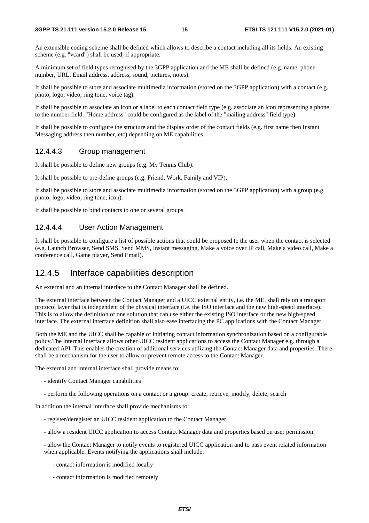An extensible coding scheme shall be defined which allows to describe a contact including all its fields. An existing scheme (e.g. "vcard") shall be used, if appropriate.

A minimum set of field types recognised by the 3GPP application and the ME shall be defined (e.g. name, phone number, URL, Email address, address, sound, pictures, notes).

It shall be possible to store and associate multimedia information (stored on the 3GPP application) with a contact (e.g. photo, logo, video, ring tone, voice tag).

It shall be possible to associate an icon or a label to each contact field type (e.g. associate an icon representing a phone to the number field. "Home address" could be configured as the label of the "mailing address" field type).

It shall be possible to configure the structure and the display order of the contact fields (e.g. first name then Instant Messaging address then number, etc) depending on ME capabilities.

#### 12.4.4.3 Group management

It shall be possible to define new groups (e.g. My Tennis Club).

It shall be possible to pre-define groups (e.g. Friend, Work, Family and VIP).

It shall be possible to store and associate multimedia information (stored on the 3GPP application) with a group (e.g. photo, logo, video, ring tone, icon).

It shall be possible to bind contacts to one or several groups.

#### 12.4.4.4 User Action Management

It shall be possible to configure a list of possible actions that could be proposed to the user when the contact is selected (e.g. Launch Browser, Send SMS, Send MMS, Instant messaging, Make a voice over IP call, Make a video call, Make a conference call, Game player, Send Email).

#### 12.4.5 Interface capabilities description

An external and an internal interface to the Contact Manager shall be defined.

The external interface between the Contact Manager and a UICC external entity, i.e. the ME, shall rely on a transport protocol layer that is independent of the physical interface (i.e. the ISO interface and the new high-speed interface). This is to allow the definition of one solution that can use either the existing ISO interface or the new high-speed interface. The external interface definition shall also ease interfacing the PC applications with the Contact Manager.

Both the ME and the UICC shall be capable of initiating contact information synchronization based on a configurable policy.The internal interface allows other UICC resident applications to access the Contact Manager e.g. through a dedicated API. This enables the creation of additional services utilizing the Contact Manager data and properties. There shall be a mechanism for the user to allow or prevent remote access to the Contact Manager.

The external and internal interface shall provide means to:

- identify Contact Manager capabilities
- perform the following operations on a contact or a group: create, retrieve, modify, delete, search

In addition the internal interface shall provide mechanisms to:

- register/deregister an UICC resident application to the Contact Manager.
- allow a resident UICC application to access Contact Manager data and properties based on user permission.

- allow the Contact Manager to notify events to registered UICC application and to pass event related information when applicable. Events notifying the applications shall include:

- contact information is modified locally
- contact information is modified remotely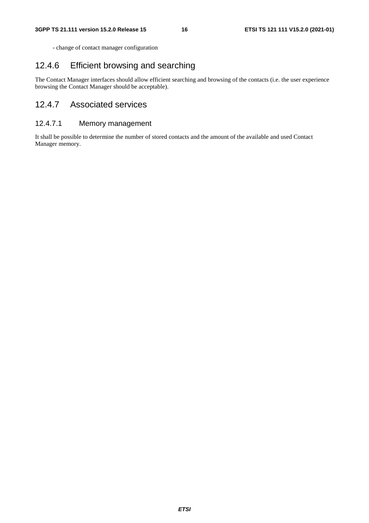- change of contact manager configuration

### 12.4.6 Efficient browsing and searching

The Contact Manager interfaces should allow efficient searching and browsing of the contacts (i.e. the user experience browsing the Contact Manager should be acceptable).

### 12.4.7 Associated services

#### 12.4.7.1 Memory management

It shall be possible to determine the number of stored contacts and the amount of the available and used Contact Manager memory.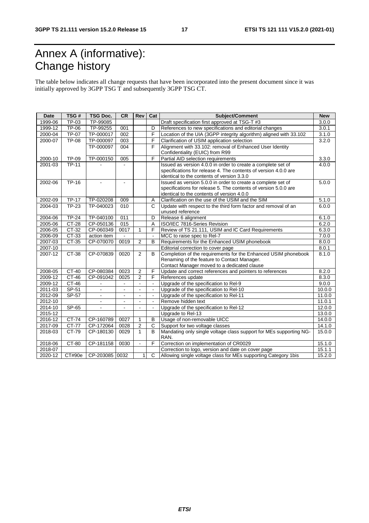# Annex A (informative): Change history

The table below indicates all change requests that have been incorporated into the present document since it was initially approved by 3GPP TSG T and subsequently 3GPP TSG CT.

| <b>Date</b> | TSG#         | <b>TSG Doc.</b> | <b>CR</b>                | Rev            | Cat            | Subject/Comment                                                    | <b>New</b> |
|-------------|--------------|-----------------|--------------------------|----------------|----------------|--------------------------------------------------------------------|------------|
| 1999-06     | TP-03        | TP-99085        |                          |                |                | Draft specification first approved at TSG-T #3                     | 3.0.0      |
| 1999-12     | <b>TP-06</b> | TP-99255        | 001                      |                | D              | References to new specifications and editorial changes             | 3.0.1      |
| 2000-04     | <b>TP-07</b> | TP-000017       | 002                      |                | F              | Location of the UIA (3GPP integrity algorithm) aligned with 33.102 | 3.1.0      |
| 2000-07     | <b>TP-08</b> | TP-000097       | $\overline{003}$         |                | F              | Clarification of USIM application selection                        | 3.2.0      |
|             |              | TP-000097       | 004                      |                | F              | Alignment with 33.102: removal of Enhanced User Identity           |            |
|             |              |                 |                          |                |                | Confidentiality (EUIC) from R99                                    |            |
| 2000-10     | TP-09        | TP-000150       | 005                      |                | F              | Partial AID selection requirements                                 | 3.3.0      |
| 2001-03     | <b>TP-11</b> | $\mathbf{r}$    | $\blacksquare$           |                |                | Issued as version 4.0.0 in order to create a complete set of       | 4.0.0      |
|             |              |                 |                          |                |                | specifications for release 4. The contents of version 4.0.0 are    |            |
|             |              |                 |                          |                |                | identical to the contents of version 3.3.0                         |            |
| 2002-06     | $TP-16$      | $\blacksquare$  | $\blacksquare$           |                |                | Issued as version 5.0.0 in order to create a complete set of       | 5.0.0      |
|             |              |                 |                          |                |                | specifications for release 5. The contents of version 5.0.0 are    |            |
|             |              |                 |                          |                |                | identical to the contents of version 4.0.0                         |            |
| 2002-09     | <b>TP-17</b> | TP-020208       | 009                      |                | Α              | Clarification on the use of the USIM and the SIM                   | 5.1.0      |
| 2004-03     | <b>TP-23</b> | TP-040023       | 010                      |                | $\mathsf{C}$   | Update with respect to the third form factor and removal of an     | 6.0.0      |
|             |              |                 |                          |                |                | unused reference                                                   |            |
| 2004-06     | $TP-24$      | TP-040100       | 011                      |                | D              | Release 6 alignment                                                | 6.1.0      |
| 2005-06     | CT-28        | CP-050136       | 015                      |                | Α              | ISO/IEC 7816-Series Revision                                       | 6.2.0      |
| 2006-05     | CT-32        | CP-060349       | 0017                     | 1              | F              | Review of TS 21.111, USIM and IC Card Requirements                 | 6.3.0      |
| 2006-09     | CT-33        | action item     | $\overline{\phantom{a}}$ |                |                | MCC to raise spec to Rel-7                                         | 7.0.0      |
| 2007-03     | $CT-35$      | CP-070070       | 0019                     | $\overline{2}$ | B              | Requirements for the Enhanced USIM phonebook                       | 8.0.0      |
| 2007-10     |              |                 |                          |                |                | Editorial correction to cover page                                 | 8.0.1      |
| 2007-12     | CT-38        | CP-070839       | 0020                     | 2              | <sub>B</sub>   | Completion of the requirements for the Enhanced USIM phonebook     | 8.1.0      |
|             |              |                 |                          |                |                | Renaming of the feature to Contact Manager.                        |            |
|             |              |                 |                          |                |                | Contact Manager moved to a dedicated clause                        |            |
| 2008-05     | CT-40        | CP-080384       | 0023                     | $\mathbf{2}$   | F              | Update and correct references and pointers to references           | 8.2.0      |
| 2009-12     | $CT-46$      | CP-091042       | 0025                     | $\overline{2}$ | F              | References update                                                  | 8.3.0      |
| 2009-12     | CT-46        | $\mathbf{r}$    | ä,                       | $\mathbf{r}$   | $\mathbf{r}$   | Upgrade of the specification to Rel-9                              | 9.0.0      |
| 2011-03     | SP-51        | $\blacksquare$  | $\blacksquare$           |                |                | Upgrade of the specification to Rel-10                             | 10.0.0     |
| 2012-09     | SP-57        |                 |                          |                |                | Upgrade of the specification to Rel-11                             | 11.0.0     |
| 2012-10     |              | ÷.              | $\blacksquare$           | $\mathbf{r}$   | $\blacksquare$ | Remove hidden text                                                 | 11.0.1     |
| 2014-10     | SP-65        | $\blacksquare$  | $\blacksquare$           | $\blacksquare$ | $\mathbf{r}$   | Upgrade of the specification to Rel-12                             | 12.0.0     |
| 2015-12     |              |                 |                          |                |                | Upgrade to Rel-13                                                  | 13.0.0     |
| 2016-12     | CT-74        | CP-160789       | 0027                     | 1              | B              | Usage of non-removable UICC                                        | 14.0.0     |
| 2017-09     | CT-77        | CP-172064       | 0028                     | $\overline{2}$ | C              | Support for two voltage classes                                    | 14.1.0     |
| 2018-03     | CT-79        | CP-180130       | 0029                     | 1              | B              | Mandating only single voltage class support for MEs supporting NG- | 15.0.0     |
|             |              |                 |                          |                |                | RAN.                                                               |            |
| 2018-06     | $CT-80$      | CP-181158       | 0030                     | $\blacksquare$ | F              | Correction on implementation of CR0029                             | 15.1.0     |
| 2018-07     |              |                 |                          |                |                | Correction to logo, version and date on cover page                 | 15.1.1     |
| 2020-12     | CT#90e       | CP-203085 0032  |                          | $\mathbf{1}$   | $\mathsf{C}$   | Allowing single voltage class for MEs supporting Category 1bis     | 15.2.0     |